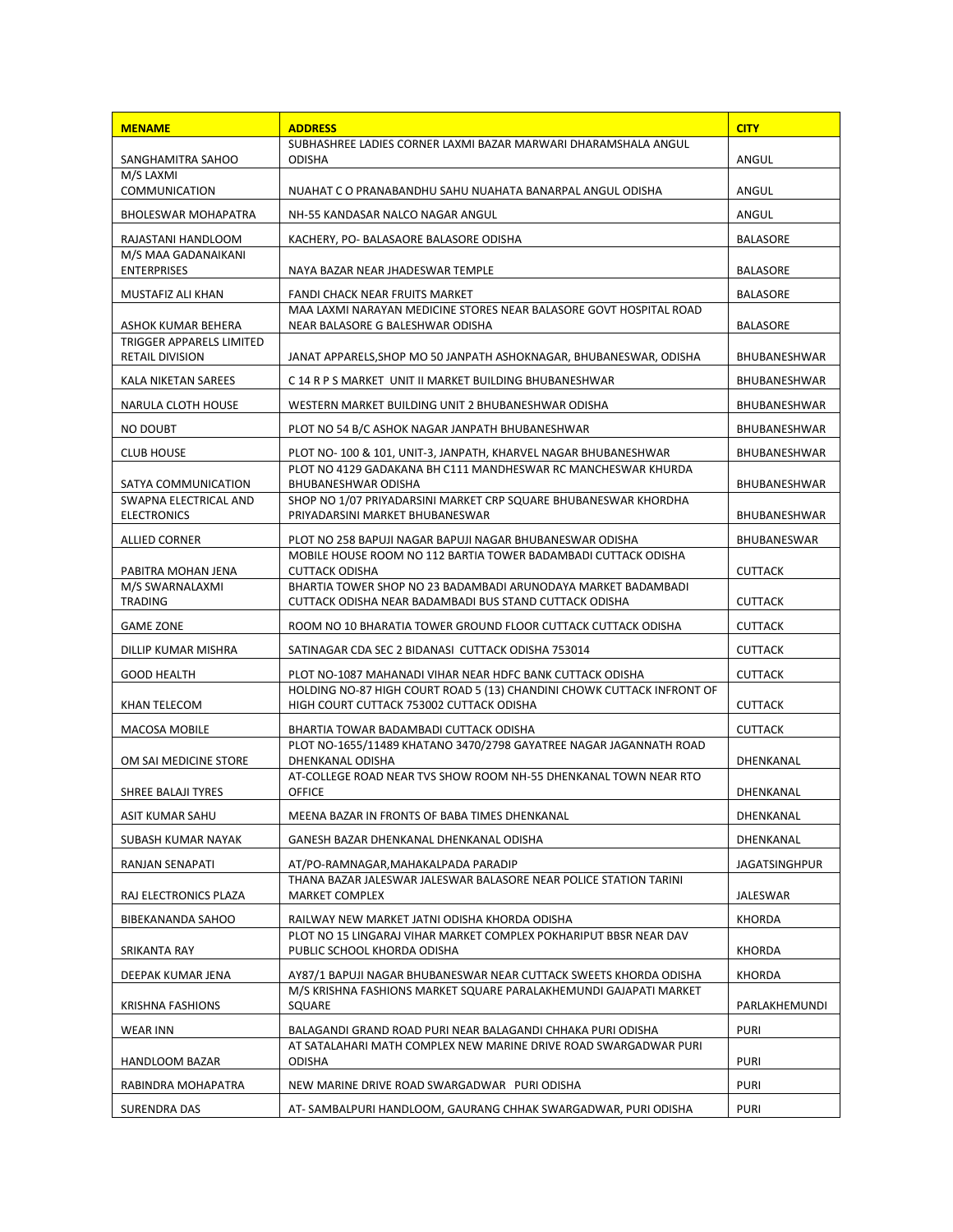| <b>MENAME</b>                                  | <b>ADDRESS</b>                                                                                                     | <b>CITY</b>     |
|------------------------------------------------|--------------------------------------------------------------------------------------------------------------------|-----------------|
|                                                | SUBHASHREE LADIES CORNER LAXMI BAZAR MARWARI DHARAMSHALA ANGUL                                                     |                 |
| SANGHAMITRA SAHOO<br>M/S LAXMI                 | ODISHA                                                                                                             | ANGUL           |
| <b>COMMUNICATION</b>                           | NUAHAT C O PRANABANDHU SAHU NUAHATA BANARPAL ANGUL ODISHA                                                          | ANGUL           |
| <b>BHOLESWAR MOHAPATRA</b>                     | NH-55 KANDASAR NALCO NAGAR ANGUL                                                                                   | ANGUL           |
| RAJASTANI HANDLOOM                             | KACHERY, PO- BALASAORE BALASORE ODISHA                                                                             | <b>BALASORE</b> |
| M/S MAA GADANAIKANI<br><b>ENTERPRISES</b>      | NAYA BAZAR NEAR JHADESWAR TEMPLE                                                                                   | <b>BALASORE</b> |
| MUSTAFIZ ALI KHAN                              | <b>FANDI CHACK NEAR FRUITS MARKET</b>                                                                              | <b>BALASORE</b> |
|                                                | MAA LAXMI NARAYAN MEDICINE STORES NEAR BALASORE GOVT HOSPITAL ROAD                                                 |                 |
| ASHOK KUMAR BEHERA<br>TRIGGER APPARELS LIMITED | NEAR BALASORE G BALESHWAR ODISHA                                                                                   | <b>BALASORE</b> |
| RETAIL DIVISION                                | JANAT APPARELS, SHOP MO 50 JANPATH ASHOKNAGAR, BHUBANESWAR, ODISHA                                                 | BHUBANESHWAR    |
| KALA NIKETAN SAREES                            | C 14 R P S MARKET UNIT II MARKET BUILDING BHUBANESHWAR                                                             | BHUBANESHWAR    |
| NARULA CLOTH HOUSE                             | WESTERN MARKET BUILDING UNIT 2 BHUBANESHWAR ODISHA                                                                 | BHUBANESHWAR    |
| <b>NO DOUBT</b>                                | PLOT NO 54 B/C ASHOK NAGAR JANPATH BHUBANESHWAR                                                                    | BHUBANESHWAR    |
| <b>CLUB HOUSE</b>                              | PLOT NO-100 & 101, UNIT-3, JANPATH, KHARVEL NAGAR BHUBANESHWAR                                                     | BHUBANESHWAR    |
|                                                | PLOT NO 4129 GADAKANA BH C111 MANDHESWAR RC MANCHESWAR KHURDA                                                      |                 |
| SATYA COMMUNICATION<br>SWAPNA ELECTRICAL AND   | BHUBANESHWAR ODISHA<br>SHOP NO 1/07 PRIYADARSINI MARKET CRP SQUARE BHUBANESWAR KHORDHA                             | BHUBANESHWAR    |
| <b>ELECTRONICS</b>                             | PRIYADARSINI MARKET BHUBANESWAR                                                                                    | BHUBANESHWAR    |
| <b>ALLIED CORNER</b>                           | PLOT NO 258 BAPUJI NAGAR BAPUJI NAGAR BHUBANESWAR ODISHA                                                           | BHUBANESWAR     |
|                                                | MOBILE HOUSE ROOM NO 112 BARTIA TOWER BADAMBADI CUTTACK ODISHA                                                     |                 |
| PABITRA MOHAN JENA<br>M/S SWARNALAXMI          | <b>CUTTACK ODISHA</b><br>BHARTIA TOWER SHOP NO 23 BADAMBADI ARUNODAYA MARKET BADAMBADI                             | <b>CUTTACK</b>  |
| <b>TRADING</b>                                 | CUTTACK ODISHA NEAR BADAMBADI BUS STAND CUTTACK ODISHA                                                             | <b>CUTTACK</b>  |
| <b>GAME ZONE</b>                               | ROOM NO 10 BHARATIA TOWER GROUND FLOOR CUTTACK CUTTACK ODISHA                                                      | <b>CUTTACK</b>  |
| DILLIP KUMAR MISHRA                            | SATINAGAR CDA SEC 2 BIDANASI CUTTACK ODISHA 753014                                                                 | <b>CUTTACK</b>  |
| <b>GOOD HEALTH</b>                             | PLOT NO-1087 MAHANADI VIHAR NEAR HDFC BANK CUTTACK ODISHA                                                          | <b>CUTTACK</b>  |
| KHAN TELECOM                                   | HOLDING NO-87 HIGH COURT ROAD 5 (13) CHANDINI CHOWK CUTTACK INFRONT OF<br>HIGH COURT CUTTACK 753002 CUTTACK ODISHA | <b>CUTTACK</b>  |
| MACOSA MOBILE                                  | BHARTIA TOWAR BADAMBADI CUTTACK ODISHA                                                                             | <b>CUTTACK</b>  |
|                                                | PLOT NO-1655/11489 KHATANO 3470/2798 GAYATREE NAGAR JAGANNATH ROAD                                                 |                 |
| OM SAI MEDICINE STORE                          | DHENKANAL ODISHA                                                                                                   | DHENKANAL       |
| SHREE BALAJI TYRES                             | AT-COLLEGE ROAD NEAR TVS SHOW ROOM NH-55 DHENKANAL TOWN NEAR RTO<br><b>OFFICE</b>                                  | DHENKANAL       |
| ASIT KUMAR SAHU                                | MEENA BAZAR IN FRONTS OF BABA TIMES DHENKANAL                                                                      | DHENKANAL       |
| SUBASH KUMAR NAYAK                             | GANESH BAZAR DHENKANAL DHENKANAL ODISHA                                                                            | DHENKANAL       |
| RANJAN SENAPATI                                | AT/PO-RAMNAGAR, MAHAKALPADA PARADIP                                                                                | JAGATSINGHPUR   |
|                                                | THANA BAZAR JALESWAR JALESWAR BALASORE NEAR POLICE STATION TARINI                                                  |                 |
| RAJ ELECTRONICS PLAZA                          | MARKET COMPLEX                                                                                                     | JALESWAR        |
| BIBEKANANDA SAHOO                              | RAILWAY NEW MARKET JATNI ODISHA KHORDA ODISHA<br>PLOT NO 15 LINGARAJ VIHAR MARKET COMPLEX POKHARIPUT BBSR NEAR DAV | KHORDA          |
| SRIKANTA RAY                                   | PUBLIC SCHOOL KHORDA ODISHA                                                                                        | <b>KHORDA</b>   |
| DEEPAK KUMAR JENA                              | AY87/1 BAPUJI NAGAR BHUBANESWAR NEAR CUTTACK SWEETS KHORDA ODISHA                                                  | <b>KHORDA</b>   |
| <b>KRISHNA FASHIONS</b>                        | M/S KRISHNA FASHIONS MARKET SQUARE PARALAKHEMUNDI GAJAPATI MARKET<br>SQUARE                                        | PARLAKHEMUNDI   |
| WEAR INN                                       | BALAGANDI GRAND ROAD PURI NEAR BALAGANDI CHHAKA PURI ODISHA                                                        | <b>PURI</b>     |
|                                                | AT SATALAHARI MATH COMPLEX NEW MARINE DRIVE ROAD SWARGADWAR PURI                                                   |                 |
| HANDLOOM BAZAR                                 | <b>ODISHA</b>                                                                                                      | <b>PURI</b>     |
| RABINDRA MOHAPATRA                             | NEW MARINE DRIVE ROAD SWARGADWAR PURI ODISHA                                                                       | <b>PURI</b>     |
| SURENDRA DAS                                   | AT-SAMBALPURI HANDLOOM, GAURANG CHHAK SWARGADWAR, PURI ODISHA                                                      | <b>PURI</b>     |